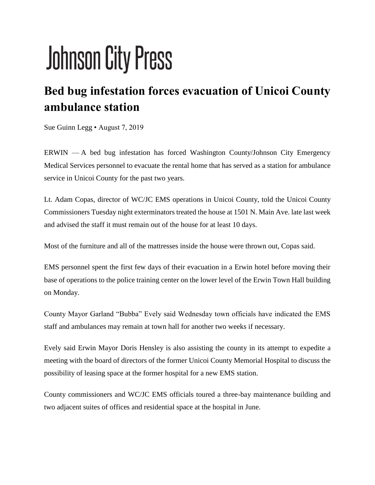## **Johnson City Press**

## **Bed bug infestation forces evacuation of Unicoi County ambulance station**

Sue Guinn Legg • August 7, 2019

ERWIN — A bed bug infestation has forced Washington County/Johnson City Emergency Medical Services personnel to evacuate the rental home that has served as a station for ambulance service in Unicoi County for the past two years.

Lt. Adam Copas, director of WC/JC EMS operations in Unicoi County, told the Unicoi County Commissioners Tuesday night exterminators treated the house at 1501 N. Main Ave. late last week and advised the staff it must remain out of the house for at least 10 days.

Most of the furniture and all of the mattresses inside the house were thrown out, Copas said.

EMS personnel spent the first few days of their evacuation in a Erwin hotel before moving their base of operations to the police training center on the lower level of the Erwin Town Hall building on Monday.

County Mayor Garland "Bubba" Evely said Wednesday town officials have indicated the EMS staff and ambulances may remain at town hall for another two weeks if necessary.

Evely said Erwin Mayor Doris Hensley is also assisting the county in its attempt to expedite a meeting with the board of directors of the former Unicoi County Memorial Hospital to discuss the possibility of leasing space at the former hospital for a new EMS station.

County commissioners and WC/JC EMS officials toured a three-bay maintenance building and two adjacent suites of offices and residential space at the hospital in June.